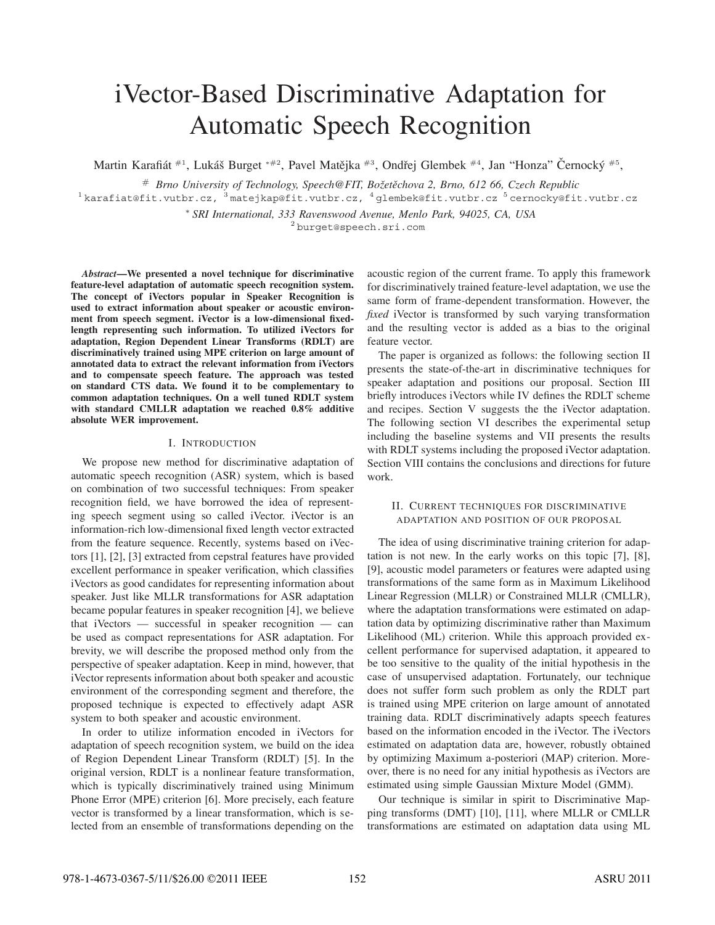# iVector-Based Discriminative Adaptation for Automatic Speech Recognition

Martin Karafiát  $\#^1$ , Lukáš Burget  $* \#^2$ , Pavel Matějka  $\#^3$ , Ondřej Glembek  $\#^4$ , Jan "Honza" Černocký  $\#^5$ ,

# *Brno University of Technology, Speech@FIT, Bozet ˇ echova 2, Brno, 612 66, Czech Republic ˇ*

<sup>1</sup> karafiat@fit.vutbr.cz,  $^3$ matejkap@fit.vutbr.cz,  $^4$ glembek@fit.vutbr.cz  $^5$ cernocky@fit.vutbr.cz

<sup>∗</sup> *SRI International, 333 Ravenswood Avenue, Menlo Park, 94025, CA, USA*

2 burget@speech.sri.com

*Abstract***—We presented a novel technique for discriminative feature-level adaptation of automatic speech recognition system. The concept of iVectors popular in Speaker Recognition is used to extract information about speaker or acoustic environment from speech segment. iVector is a low-dimensional fixedlength representing such information. To utilized iVectors for adaptation, Region Dependent Linear Transforms (RDLT) are discriminatively trained using MPE criterion on large amount of annotated data to extract the relevant information from iVectors and to compensate speech feature. The approach was tested on standard CTS data. We found it to be complementary to common adaptation techniques. On a well tuned RDLT system with standard CMLLR adaptation we reached 0.8% additive absolute WER improvement.**

## I. INTRODUCTION

We propose new method for discriminative adaptation of automatic speech recognition (ASR) system, which is based on combination of two successful techniques: From speaker recognition field, we have borrowed the idea of representing speech segment using so called iVector. iVector is an information-rich low-dimensional fixed length vector extracted from the feature sequence. Recently, systems based on iVectors [1], [2], [3] extracted from cepstral features have provided excellent performance in speaker verification, which classifies iVectors as good candidates for representing information about speaker. Just like MLLR transformations for ASR adaptation became popular features in speaker recognition [4], we believe that iVectors — successful in speaker recognition — can be used as compact representations for ASR adaptation. For brevity, we will describe the proposed method only from the perspective of speaker adaptation. Keep in mind, however, that iVector represents information about both speaker and acoustic environment of the corresponding segment and therefore, the proposed technique is expected to effectively adapt ASR system to both speaker and acoustic environment.

In order to utilize information encoded in iVectors for adaptation of speech recognition system, we build on the idea of Region Dependent Linear Transform (RDLT) [5]. In the original version, RDLT is a nonlinear feature transformation, which is typically discriminatively trained using Minimum Phone Error (MPE) criterion [6]. More precisely, each feature vector is transformed by a linear transformation, which is selected from an ensemble of transformations depending on the

acoustic region of the current frame. To apply this framework for discriminatively trained feature-level adaptation, we use the same form of frame-dependent transformation. However, the *fixed* iVector is transformed by such varying transformation and the resulting vector is added as a bias to the original feature vector.

The paper is organized as follows: the following section II presents the state-of-the-art in discriminative techniques for speaker adaptation and positions our proposal. Section III briefly introduces iVectors while IV defines the RDLT scheme and recipes. Section V suggests the the iVector adaptation. The following section VI describes the experimental setup including the baseline systems and VII presents the results with RDLT systems including the proposed iVector adaptation. Section VIII contains the conclusions and directions for future work.

# II. CURRENT TECHNIQUES FOR DISCRIMINATIVE ADAPTATION AND POSITION OF OUR PROPOSAL

The idea of using discriminative training criterion for adaptation is not new. In the early works on this topic [7], [8], [9], acoustic model parameters or features were adapted using transformations of the same form as in Maximum Likelihood Linear Regression (MLLR) or Constrained MLLR (CMLLR), where the adaptation transformations were estimated on adaptation data by optimizing discriminative rather than Maximum Likelihood (ML) criterion. While this approach provided excellent performance for supervised adaptation, it appeared to be too sensitive to the quality of the initial hypothesis in the case of unsupervised adaptation. Fortunately, our technique does not suffer form such problem as only the RDLT part is trained using MPE criterion on large amount of annotated training data. RDLT discriminatively adapts speech features based on the information encoded in the iVector. The iVectors estimated on adaptation data are, however, robustly obtained by optimizing Maximum a-posteriori (MAP) criterion. Moreover, there is no need for any initial hypothesis as iVectors are estimated using simple Gaussian Mixture Model (GMM).

Our technique is similar in spirit to Discriminative Mapping transforms (DMT) [10], [11], where MLLR or CMLLR transformations are estimated on adaptation data using ML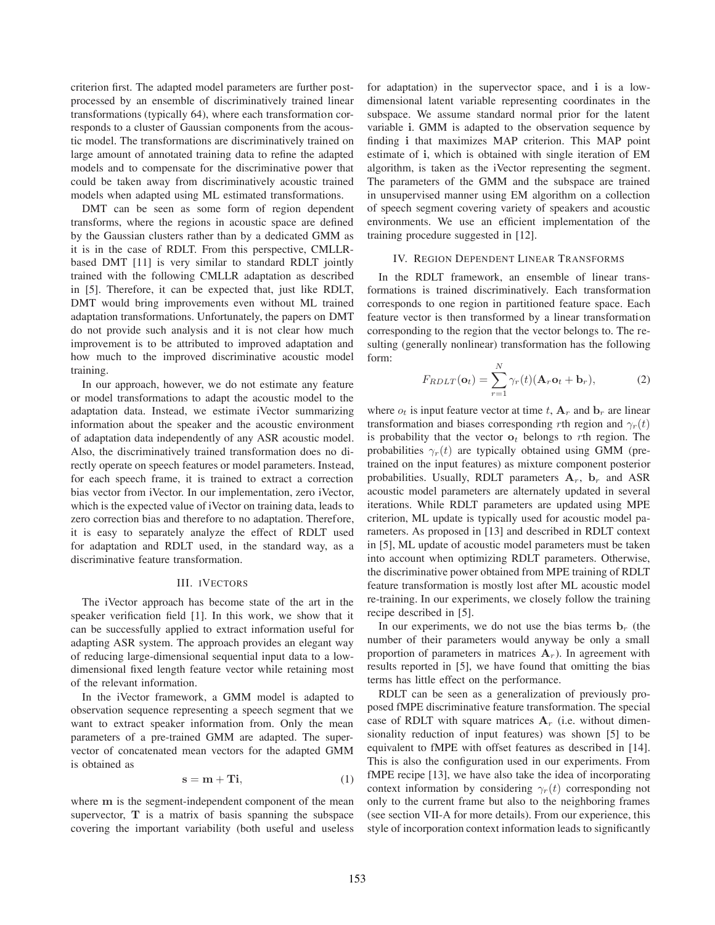criterion first. The adapted model parameters are further postprocessed by an ensemble of discriminatively trained linear transformations (typically 64), where each transformation corresponds to a cluster of Gaussian components from the acoustic model. The transformations are discriminatively trained on large amount of annotated training data to refine the adapted models and to compensate for the discriminative power that could be taken away from discriminatively acoustic trained models when adapted using ML estimated transformations.

DMT can be seen as some form of region dependent transforms, where the regions in acoustic space are defined by the Gaussian clusters rather than by a dedicated GMM as it is in the case of RDLT. From this perspective, CMLLRbased DMT [11] is very similar to standard RDLT jointly trained with the following CMLLR adaptation as described in [5]. Therefore, it can be expected that, just like RDLT, DMT would bring improvements even without ML trained adaptation transformations. Unfortunately, the papers on DMT do not provide such analysis and it is not clear how much improvement is to be attributed to improved adaptation and how much to the improved discriminative acoustic model training.

In our approach, however, we do not estimate any feature or model transformations to adapt the acoustic model to the adaptation data. Instead, we estimate iVector summarizing information about the speaker and the acoustic environment of adaptation data independently of any ASR acoustic model. Also, the discriminatively trained transformation does no directly operate on speech features or model parameters. Instead, for each speech frame, it is trained to extract a correction bias vector from iVector. In our implementation, zero iVector, which is the expected value of iVector on training data, leads to zero correction bias and therefore to no adaptation. Therefore, it is easy to separately analyze the effect of RDLT used for adaptation and RDLT used, in the standard way, as a discriminative feature transformation.

## III. IVECTORS

The iVector approach has become state of the art in the speaker verification field [1]. In this work, we show that it can be successfully applied to extract information useful for adapting ASR system. The approach provides an elegant way of reducing large-dimensional sequential input data to a lowdimensional fixed length feature vector while retaining most of the relevant information.

In the iVector framework, a GMM model is adapted to observation sequence representing a speech segment that we want to extract speaker information from. Only the mean parameters of a pre-trained GMM are adapted. The supervector of concatenated mean vectors for the adapted GMM is obtained as

$$
s = m + Ti,
$$
 (1)

where m is the segment-independent component of the mean supervector, **T** is a matrix of basis spanning the subspace covering the important variability (both useful and useless for adaptation) in the supervector space, and **i** is a lowdimensional latent variable representing coordinates in the subspace. We assume standard normal prior for the latent variable **i**. GMM is adapted to the observation sequence by finding **i** that maximizes MAP criterion. This MAP point estimate of **i**, which is obtained with single iteration of EM algorithm, is taken as the iVector representing the segment. The parameters of the GMM and the subspace are trained in unsupervised manner using EM algorithm on a collection of speech segment covering variety of speakers and acoustic environments. We use an efficient implementation of the training procedure suggested in [12].

# IV. REGION DEPENDENT LINEAR TRANSFORMS

In the RDLT framework, an ensemble of linear transformations is trained discriminatively. Each transformation corresponds to one region in partitioned feature space. Each feature vector is then transformed by a linear transformation corresponding to the region that the vector belongs to. The resulting (generally nonlinear) transformation has the following form:

$$
F_{RDLT}(\mathbf{o}_t) = \sum_{r=1}^{N} \gamma_r(t) (\mathbf{A}_r \mathbf{o}_t + \mathbf{b}_r),
$$
 (2)

where  $o_t$  is input feature vector at time t,  $A_r$  and  $b_r$  are linear transformation and biases corresponding rth region and  $\gamma_r(t)$ is probability that the vector  $\mathbf{o}_t$  belongs to rth region. The probabilities  $\gamma_r(t)$  are typically obtained using GMM (pretrained on the input features) as mixture component posterior probabilities. Usually, RDLT parameters  $A_r$ ,  $b_r$  and ASR acoustic model parameters are alternately updated in several iterations. While RDLT parameters are updated using MPE criterion, ML update is typically used for acoustic model parameters. As proposed in [13] and described in RDLT context in [5], ML update of acoustic model parameters must be taken into account when optimizing RDLT parameters. Otherwise, the discriminative power obtained from MPE training of RDLT feature transformation is mostly lost after ML acoustic model re-training. In our experiments, we closely follow the training recipe described in [5].

In our experiments, we do not use the bias terms  $\mathbf{b}_r$  (the number of their parameters would anyway be only a small proportion of parameters in matrices  $A_r$ ). In agreement with results reported in [5], we have found that omitting the bias terms has little effect on the performance.

RDLT can be seen as a generalization of previously proposed fMPE discriminative feature transformation. The special case of RDLT with square matrices  $A_r$  (i.e. without dimensionality reduction of input features) was shown [5] to be equivalent to fMPE with offset features as described in [14]. This is also the configuration used in our experiments. From fMPE recipe [13], we have also take the idea of incorporating context information by considering  $\gamma_r(t)$  corresponding not only to the current frame but also to the neighboring frames (see section VII-A for more details). From our experience, this style of incorporation context information leads to significantly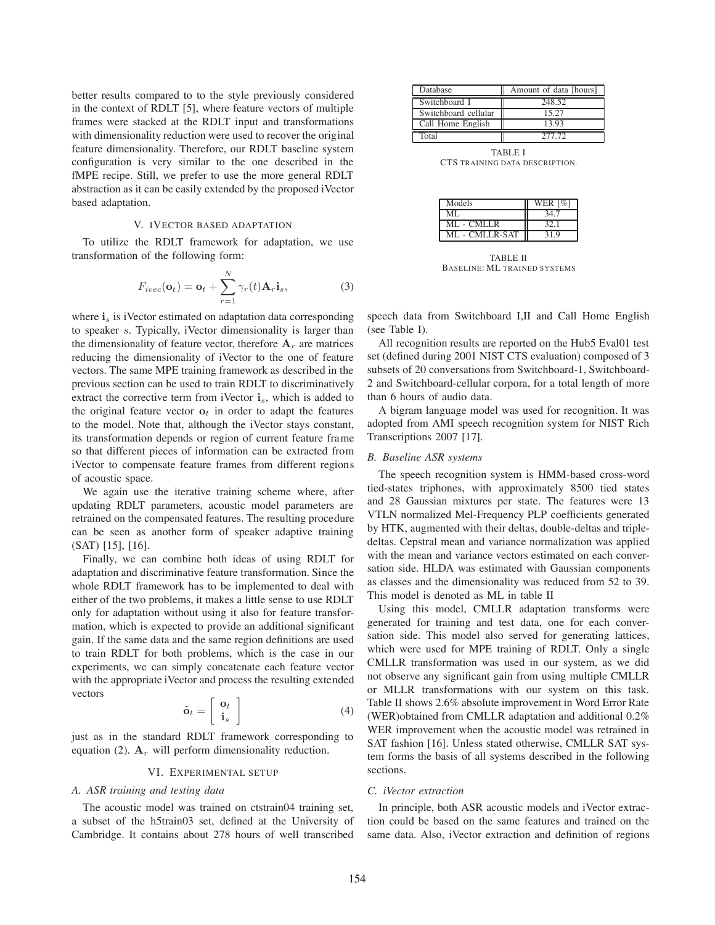better results compared to to the style previously considered in the context of RDLT [5], where feature vectors of multiple frames were stacked at the RDLT input and transformations with dimensionality reduction were used to recover the original feature dimensionality. Therefore, our RDLT baseline system configuration is very similar to the one described in the fMPE recipe. Still, we prefer to use the more general RDLT abstraction as it can be easily extended by the proposed iVector based adaptation.

# V. IVECTOR BASED ADAPTATION

To utilize the RDLT framework for adaptation, we use transformation of the following form:

$$
F_{ivec}(\mathbf{o}_t) = \mathbf{o}_t + \sum_{r=1}^{N} \gamma_r(t) \mathbf{A}_r \mathbf{i}_s, \tag{3}
$$

where **i**<sub>s</sub> is iVector estimated on adaptation data corresponding to speaker s. Typically, iVector dimensionality is larger than the dimensionality of feature vector, therefore  $A_r$  are matrices reducing the dimensionality of iVector to the one of feature vectors. The same MPE training framework as described in the previous section can be used to train RDLT to discriminatively extract the corrective term from iVector **i**<sub>s</sub>, which is added to the original feature vector  $o_t$  in order to adapt the features to the model. Note that, although the iVector stays constant, its transformation depends or region of current feature frame so that different pieces of information can be extracted from iVector to compensate feature frames from different regions of acoustic space.

We again use the iterative training scheme where, after updating RDLT parameters, acoustic model parameters are retrained on the compensated features. The resulting procedure can be seen as another form of speaker adaptive training (SAT) [15], [16].

Finally, we can combine both ideas of using RDLT for adaptation and discriminative feature transformation. Since the whole RDLT framework has to be implemented to deal with either of the two problems, it makes a little sense to use RDLT only for adaptation without using it also for feature transformation, which is expected to provide an additional significant gain. If the same data and the same region definitions are used to train RDLT for both problems, which is the case in our experiments, we can simply concatenate each feature vector with the appropriate iVector and process the resulting extended vectors

$$
\tilde{\mathbf{o}}_t = \left[ \begin{array}{c} \mathbf{o}_t \\ \mathbf{i}_s \end{array} \right] \tag{4}
$$

just as in the standard RDLT framework corresponding to equation (2).  $A_r$  will perform dimensionality reduction.

#### VI. EXPERIMENTAL SETUP

# *A. ASR training and testing data*

The acoustic model was trained on ctstrain04 training set, a subset of the h5train03 set, defined at the University of Cambridge. It contains about 278 hours of well transcribed

| Database             | Amount of data [hours] |
|----------------------|------------------------|
| Switchboard I        | 248.52                 |
| Switchboard cellular | 15.27                  |
| Call Home English    | 13.93                  |
| Total                | 277.72                 |

TABLE I CTS TRAINING DATA DESCRIPTION.

| Models           | WER [%] |
|------------------|---------|
|                  |         |
| . - CMLLR<br>ML. | 32.1    |
| - CMLLR-SAT      |         |

TABLE II BASELINE: ML TRAINED SYSTEMS

speech data from Switchboard I,II and Call Home English (see Table I).

All recognition results are reported on the Hub5 Eval01 test set (defined during 2001 NIST CTS evaluation) composed of 3 subsets of 20 conversations from Switchboard-1, Switchboard-2 and Switchboard-cellular corpora, for a total length of more than 6 hours of audio data.

A bigram language model was used for recognition. It was adopted from AMI speech recognition system for NIST Rich Transcriptions 2007 [17].

# *B. Baseline ASR systems*

The speech recognition system is HMM-based cross-word tied-states triphones, with approximately 8500 tied states and 28 Gaussian mixtures per state. The features were 13 VTLN normalized Mel-Frequency PLP coefficients generated by HTK, augmented with their deltas, double-deltas and tripledeltas. Cepstral mean and variance normalization was applied with the mean and variance vectors estimated on each conversation side. HLDA was estimated with Gaussian components as classes and the dimensionality was reduced from 52 to 39. This model is denoted as ML in table II

Using this model, CMLLR adaptation transforms were generated for training and test data, one for each conversation side. This model also served for generating lattices, which were used for MPE training of RDLT. Only a single CMLLR transformation was used in our system, as we did not observe any significant gain from using multiple CMLLR or MLLR transformations with our system on this task. Table II shows 2.6% absolute improvement in Word Error Rate (WER)obtained from CMLLR adaptation and additional 0.2% WER improvement when the acoustic model was retrained in SAT fashion [16]. Unless stated otherwise, CMLLR SAT system forms the basis of all systems described in the following sections.

#### *C. iVector extraction*

In principle, both ASR acoustic models and iVector extraction could be based on the same features and trained on the same data. Also, iVector extraction and definition of regions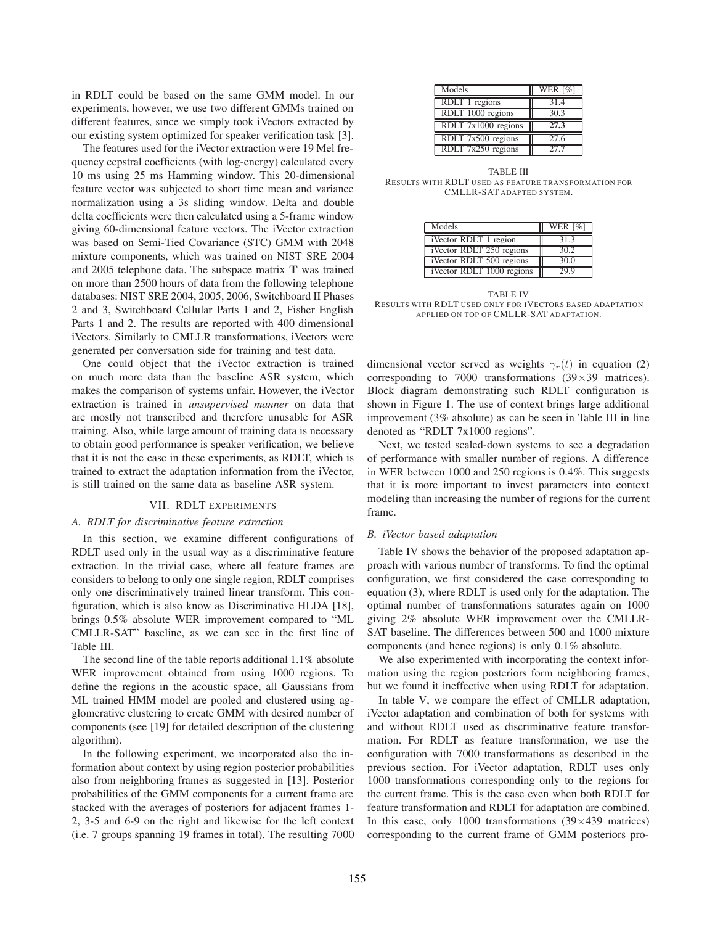in RDLT could be based on the same GMM model. In our experiments, however, we use two different GMMs trained on different features, since we simply took iVectors extracted by our existing system optimized for speaker verification task [3].

The features used for the iVector extraction were 19 Mel frequency cepstral coefficients (with log-energy) calculated every 10 ms using 25 ms Hamming window. This 20-dimensional feature vector was subjected to short time mean and variance normalization using a 3s sliding window. Delta and double delta coefficients were then calculated using a 5-frame window giving 60-dimensional feature vectors. The iVector extraction was based on Semi-Tied Covariance (STC) GMM with 2048 mixture components, which was trained on NIST SRE 2004 and 2005 telephone data. The subspace matrix **T** was trained on more than 2500 hours of data from the following telephone databases: NIST SRE 2004, 2005, 2006, Switchboard II Phases 2 and 3, Switchboard Cellular Parts 1 and 2, Fisher English Parts 1 and 2. The results are reported with 400 dimensional iVectors. Similarly to CMLLR transformations, iVectors were generated per conversation side for training and test data.

One could object that the iVector extraction is trained on much more data than the baseline ASR system, which makes the comparison of systems unfair. However, the iVector extraction is trained in *unsupervised manner* on data that are mostly not transcribed and therefore unusable for ASR training. Also, while large amount of training data is necessary to obtain good performance is speaker verification, we believe that it is not the case in these experiments, as RDLT, which is trained to extract the adaptation information from the iVector, is still trained on the same data as baseline ASR system.

# VII. RDLT EXPERIMENTS

#### *A. RDLT for discriminative feature extraction*

In this section, we examine different configurations of RDLT used only in the usual way as a discriminative feature extraction. In the trivial case, where all feature frames are considers to belong to only one single region, RDLT comprises only one discriminatively trained linear transform. This configuration, which is also know as Discriminative HLDA [18], brings 0.5% absolute WER improvement compared to "ML CMLLR-SAT" baseline, as we can see in the first line of Table III.

The second line of the table reports additional 1.1% absolute WER improvement obtained from using 1000 regions. To define the regions in the acoustic space, all Gaussians from ML trained HMM model are pooled and clustered using agglomerative clustering to create GMM with desired number of components (see [19] for detailed description of the clustering algorithm).

In the following experiment, we incorporated also the information about context by using region posterior probabilities also from neighboring frames as suggested in [13]. Posterior probabilities of the GMM components for a current frame are stacked with the averages of posteriors for adjacent frames 1- 2, 3-5 and 6-9 on the right and likewise for the left context (i.e. 7 groups spanning 19 frames in total). The resulting 7000

| Models                          | WER $[\%]$ |
|---------------------------------|------------|
| $\overline{R}$ DLT 1 regions    | 31.4       |
| RDLT 1000 regions               | 30.3       |
| RDLT 7x1000 regions             | 27.3       |
| RDLT 7x500 regions              | 27.6       |
| RDLT $7x\overline{250}$ regions | 27.7       |

TABLE III RESULTS WITH RDLT USED AS FEATURE TRANSFORMATION FOR CMLLR-SAT ADAPTED SYSTEM.

| Models                    | WER $\lceil \% \rceil$ |
|---------------------------|------------------------|
| iVector RDLT 1 region     | 31.3                   |
| iVector RDLT 250 regions  | 30.2                   |
| iVector RDLT 500 regions  | 30.0                   |
| iVector RDLT 1000 regions | 29.9                   |

TABLE IV RESULTS WITH RDLT USED ONLY FOR IVECTORS BASED ADAPTATION APPLIED ON TOP OF CMLLR-SAT ADAPTATION.

dimensional vector served as weights  $\gamma_r(t)$  in equation (2) corresponding to 7000 transformations  $(39 \times 39$  matrices). Block diagram demonstrating such RDLT configuration is shown in Figure 1. The use of context brings large additional improvement (3% absolute) as can be seen in Table III in line denoted as "RDLT 7x1000 regions".

Next, we tested scaled-down systems to see a degradation of performance with smaller number of regions. A difference in WER between 1000 and 250 regions is 0.4%. This suggests that it is more important to invest parameters into context modeling than increasing the number of regions for the current frame.

#### *B. iVector based adaptation*

Table IV shows the behavior of the proposed adaptation approach with various number of transforms. To find the optimal configuration, we first considered the case corresponding to equation (3), where RDLT is used only for the adaptation. The optimal number of transformations saturates again on 1000 giving 2% absolute WER improvement over the CMLLR-SAT baseline. The differences between 500 and 1000 mixture components (and hence regions) is only 0.1% absolute.

We also experimented with incorporating the context information using the region posteriors form neighboring frames, but we found it ineffective when using RDLT for adaptation.

In table V, we compare the effect of CMLLR adaptation, iVector adaptation and combination of both for systems with and without RDLT used as discriminative feature transformation. For RDLT as feature transformation, we use the configuration with 7000 transformations as described in the previous section. For iVector adaptation, RDLT uses only 1000 transformations corresponding only to the regions for the current frame. This is the case even when both RDLT for feature transformation and RDLT for adaptation are combined. In this case, only 1000 transformations  $(39\times439)$  matrices) corresponding to the current frame of GMM posteriors pro-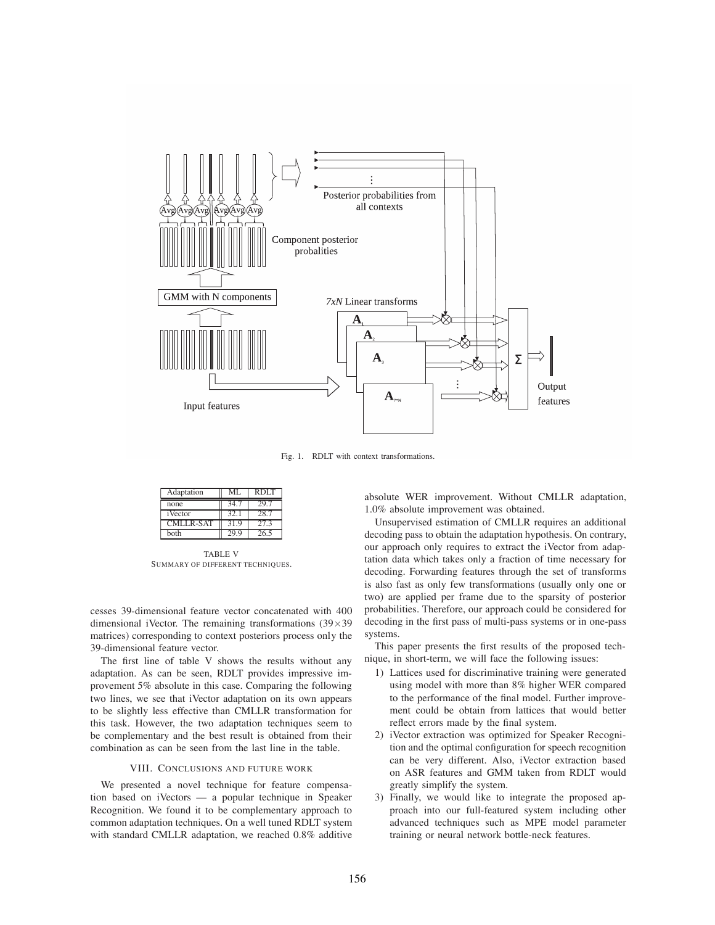

Fig. 1. RDLT with context transformations.

| Adaptation       |      | <b>RDLT</b> |
|------------------|------|-------------|
| none             | 34.7 | 29 .        |
| iVector          | 32.1 | 28.7        |
| <b>CMLLR-SAT</b> | 31.9 | 27.3        |
| both             | 29.9 | 26.5        |

TABLE V SUMMARY OF DIFFERENT TECHNIQUES.

cesses 39-dimensional feature vector concatenated with 400 dimensional iVector. The remaining transformations  $(39 \times 39)$ matrices) corresponding to context posteriors process only the 39-dimensional feature vector.

The first line of table V shows the results without any adaptation. As can be seen, RDLT provides impressive improvement 5% absolute in this case. Comparing the following two lines, we see that iVector adaptation on its own appears to be slightly less effective than CMLLR transformation for this task. However, the two adaptation techniques seem to be complementary and the best result is obtained from their combination as can be seen from the last line in the table.

## VIII. CONCLUSIONS AND FUTURE WORK

We presented a novel technique for feature compensation based on iVectors — a popular technique in Speaker Recognition. We found it to be complementary approach to common adaptation techniques. On a well tuned RDLT system with standard CMLLR adaptation, we reached 0.8% additive absolute WER improvement. Without CMLLR adaptation, 1.0% absolute improvement was obtained.

Unsupervised estimation of CMLLR requires an additional decoding pass to obtain the adaptation hypothesis. On contrary, our approach only requires to extract the iVector from adaptation data which takes only a fraction of time necessary for decoding. Forwarding features through the set of transforms is also fast as only few transformations (usually only one or two) are applied per frame due to the sparsity of posterior probabilities. Therefore, our approach could be considered for decoding in the first pass of multi-pass systems or in one-pass systems.

This paper presents the first results of the proposed technique, in short-term, we will face the following issues:

- 1) Lattices used for discriminative training were generated using model with more than 8% higher WER compared to the performance of the final model. Further improvement could be obtain from lattices that would better reflect errors made by the final system.
- 2) iVector extraction was optimized for Speaker Recognition and the optimal configuration for speech recognition can be very different. Also, iVector extraction based on ASR features and GMM taken from RDLT would greatly simplify the system.
- 3) Finally, we would like to integrate the proposed approach into our full-featured system including other advanced techniques such as MPE model parameter training or neural network bottle-neck features.